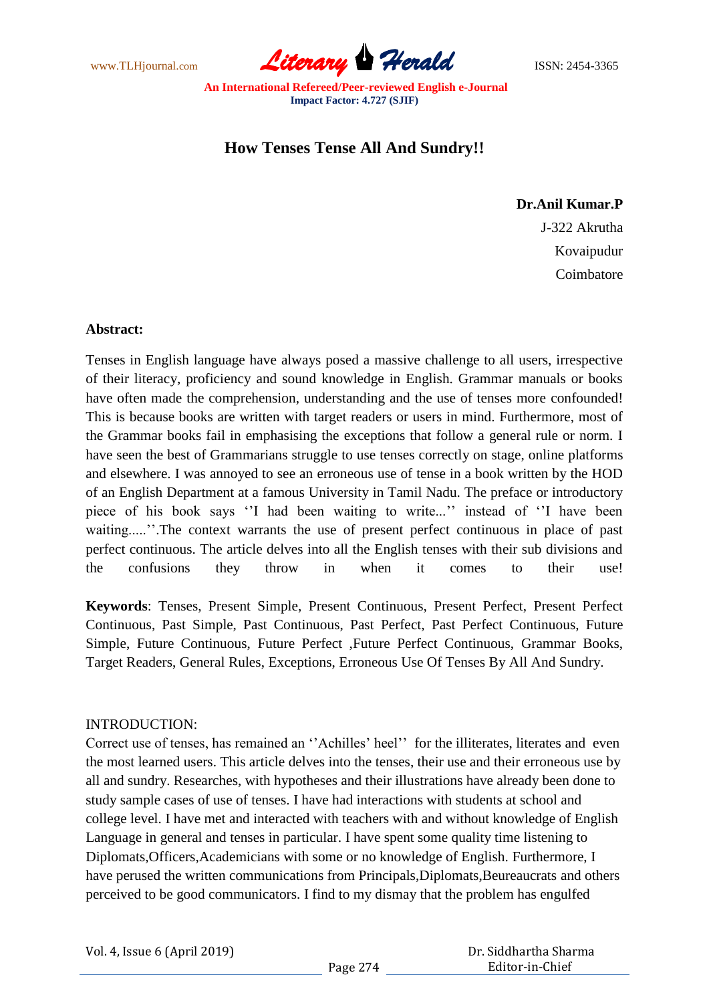www.TLHjournal.com **Literary Herald Herald** ISSN: 2454-3365

# **How Tenses Tense All And Sundry!!**

### **Dr.Anil Kumar.P**

J-322 Akrutha Kovaipudur Coimbatore

#### **Abstract:**

Tenses in English language have always posed a massive challenge to all users, irrespective of their literacy, proficiency and sound knowledge in English. Grammar manuals or books have often made the comprehension, understanding and the use of tenses more confounded! This is because books are written with target readers or users in mind. Furthermore, most of the Grammar books fail in emphasising the exceptions that follow a general rule or norm. I have seen the best of Grammarians struggle to use tenses correctly on stage, online platforms and elsewhere. I was annoyed to see an erroneous use of tense in a book written by the HOD of an English Department at a famous University in Tamil Nadu. The preface or introductory piece of his book says "I had been waiting to write..." instead of "I have been waiting.....".The context warrants the use of present perfect continuous in place of past perfect continuous. The article delves into all the English tenses with their sub divisions and the confusions they throw in when it comes to their use!

**Keywords**: Tenses, Present Simple, Present Continuous, Present Perfect, Present Perfect Continuous, Past Simple, Past Continuous, Past Perfect, Past Perfect Continuous, Future Simple, Future Continuous, Future Perfect ,Future Perfect Continuous, Grammar Books, Target Readers, General Rules, Exceptions, Erroneous Use Of Tenses By All And Sundry.

#### INTRODUCTION:

Correct use of tenses, has remained an "Achilles' heel" for the illiterates, literates and even the most learned users. This article delves into the tenses, their use and their erroneous use by all and sundry. Researches, with hypotheses and their illustrations have already been done to study sample cases of use of tenses. I have had interactions with students at school and college level. I have met and interacted with teachers with and without knowledge of English Language in general and tenses in particular. I have spent some quality time listening to Diplomats,Officers,Academicians with some or no knowledge of English. Furthermore, I have perused the written communications from Principals, Diplomats, Beureaucrats and others perceived to be good communicators. I find to my dismay that the problem has engulfed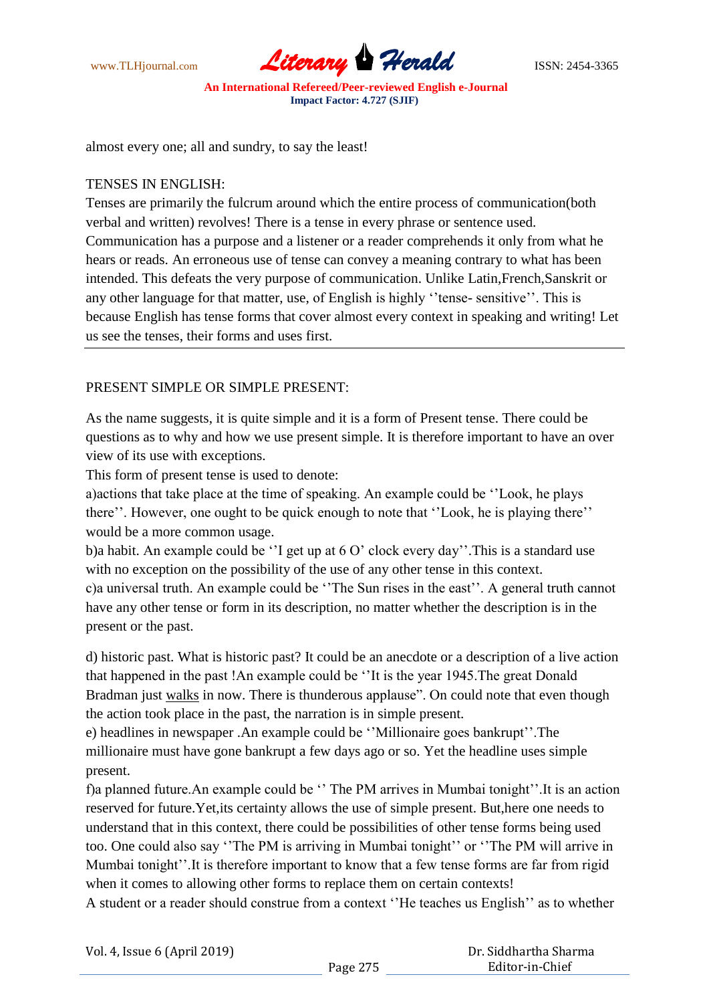

almost every one; all and sundry, to say the least!

### TENSES IN ENGLISH:

Tenses are primarily the fulcrum around which the entire process of communication(both verbal and written) revolves! There is a tense in every phrase or sentence used. Communication has a purpose and a listener or a reader comprehends it only from what he hears or reads. An erroneous use of tense can convey a meaning contrary to what has been intended. This defeats the very purpose of communication. Unlike Latin,French,Sanskrit or any other language for that matter, use, of English is highly "tense- sensitive". This is because English has tense forms that cover almost every context in speaking and writing! Let us see the tenses, their forms and uses first.

### PRESENT SIMPLE OR SIMPLE PRESENT:

As the name suggests, it is quite simple and it is a form of Present tense. There could be questions as to why and how we use present simple. It is therefore important to have an over view of its use with exceptions.

This form of present tense is used to denote:

a)actions that take place at the time of speaking. An example could be ""Look, he plays there". However, one ought to be quick enough to note that "Look, he is playing there" would be a more common usage.

b)a habit. An example could be "I get up at  $6 O'$  clock every day". This is a standard use with no exception on the possibility of the use of any other tense in this context. c)a universal truth. An example could be "The Sun rises in the east". A general truth cannot have any other tense or form in its description, no matter whether the description is in the present or the past.

d) historic past. What is historic past? It could be an anecdote or a description of a live action that happened in the past !An example could be ""It is the year 1945.The great Donald Bradman just walks in now. There is thunderous applause". On could note that even though the action took place in the past, the narration is in simple present.

e) headlines in newspaper .An example could be ""Millionaire goes bankrupt"".The millionaire must have gone bankrupt a few days ago or so. Yet the headline uses simple present.

f)a planned future. An example could be "The PM arrives in Mumbai tonight". It is an action reserved for future.Yet,its certainty allows the use of simple present. But,here one needs to understand that in this context, there could be possibilities of other tense forms being used too. One could also say "The PM is arriving in Mumbai tonight" or "The PM will arrive in Mumbai tonight". It is therefore important to know that a few tense forms are far from rigid when it comes to allowing other forms to replace them on certain contexts!

A student or a reader should construe from a context ""He teaches us English"" as to whether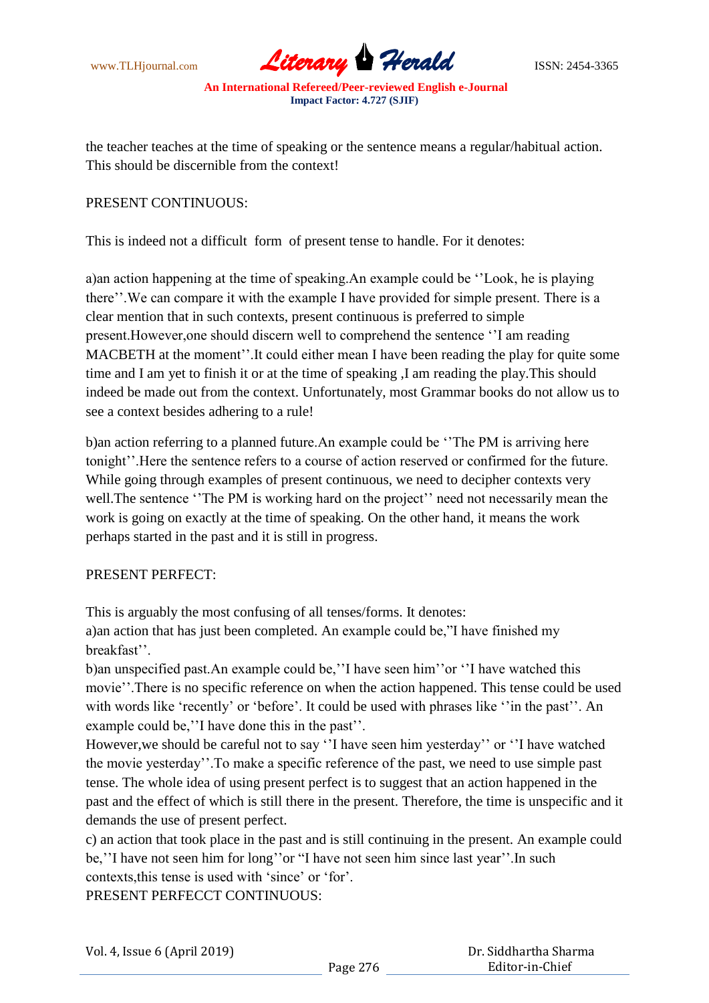www.TLHjournal.com **Literary Herald ISSN: 2454-3365** 

the teacher teaches at the time of speaking or the sentence means a regular/habitual action. This should be discernible from the context!

### PRESENT CONTINUOUS:

This is indeed not a difficult form of present tense to handle. For it denotes:

a)an action happening at the time of speaking.An example could be ""Look, he is playing there". We can compare it with the example I have provided for simple present. There is a clear mention that in such contexts, present continuous is preferred to simple present.However,one should discern well to comprehend the sentence ""I am reading MACBETH at the moment". It could either mean I have been reading the play for quite some time and I am yet to finish it or at the time of speaking ,I am reading the play.This should indeed be made out from the context. Unfortunately, most Grammar books do not allow us to see a context besides adhering to a rule!

b)an action referring to a planned future.An example could be ""The PM is arriving here tonight"".Here the sentence refers to a course of action reserved or confirmed for the future. While going through examples of present continuous, we need to decipher contexts very well. The sentence "The PM is working hard on the project" need not necessarily mean the work is going on exactly at the time of speaking. On the other hand, it means the work perhaps started in the past and it is still in progress.

#### PRESENT PERFECT:

This is arguably the most confusing of all tenses/forms. It denotes:

a)an action that has just been completed. An example could be,"I have finished my breakfast".

b)an unspecified past. An example could be, "I have seen him" or "I have watched this movie"".There is no specific reference on when the action happened. This tense could be used with words like 'recently' or 'before'. It could be used with phrases like ''in the past''. An example could be," I have done this in the past".

However, we should be careful not to say "I have seen him yesterday" or "I have watched the movie yesterday"".To make a specific reference of the past, we need to use simple past tense. The whole idea of using present perfect is to suggest that an action happened in the past and the effect of which is still there in the present. Therefore, the time is unspecific and it demands the use of present perfect.

c) an action that took place in the past and is still continuing in the present. An example could be," I have not seen him for long" or "I have not seen him since last year". In such contexts,this tense is used with "since" or "for". PRESENT PERFECCT CONTINUOUS: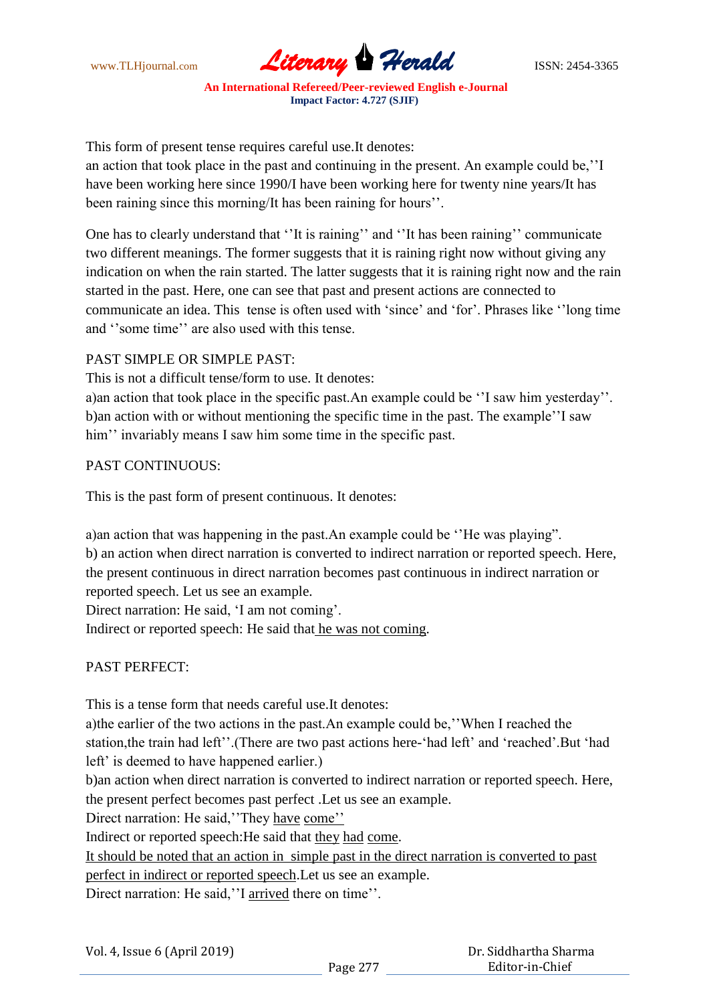www.TLHjournal.com **Literary Herald** ISSN: 2454-3365

This form of present tense requires careful use.It denotes:

an action that took place in the past and continuing in the present. An example could be,""I have been working here since 1990/I have been working here for twenty nine years/It has been raining since this morning/It has been raining for hours".

One has to clearly understand that "It is raining" and "It has been raining" communicate two different meanings. The former suggests that it is raining right now without giving any indication on when the rain started. The latter suggests that it is raining right now and the rain started in the past. Here, one can see that past and present actions are connected to communicate an idea. This tense is often used with "since" and "for". Phrases like ""long time and "some time" are also used with this tense.

# PAST SIMPLE OR SIMPLE PAST:

This is not a difficult tense/form to use. It denotes:

a)an action that took place in the specific past.An example could be "I saw him yesterday". b)an action with or without mentioning the specific time in the past. The example""I saw him" invariably means I saw him some time in the specific past.

# PAST CONTINUOUS:

This is the past form of present continuous. It denotes:

a)an action that was happening in the past.An example could be ""He was playing". b) an action when direct narration is converted to indirect narration or reported speech. Here, the present continuous in direct narration becomes past continuous in indirect narration or reported speech. Let us see an example.

Direct narration: He said, 'I am not coming'.

Indirect or reported speech: He said that he was not coming.

# PAST PERFECT:

This is a tense form that needs careful use.It denotes:

a)the earlier of the two actions in the past.An example could be,""When I reached the station, the train had left". (There are two past actions here-'had left' and 'reached'. But 'had left' is deemed to have happened earlier.)

b)an action when direct narration is converted to indirect narration or reported speech. Here, the present perfect becomes past perfect .Let us see an example.

Direct narration: He said, "They have come"

Indirect or reported speech:He said that they had come.

It should be noted that an action in simple past in the direct narration is converted to past perfect in indirect or reported speech.Let us see an example. Direct narration: He said,"I arrived there on time".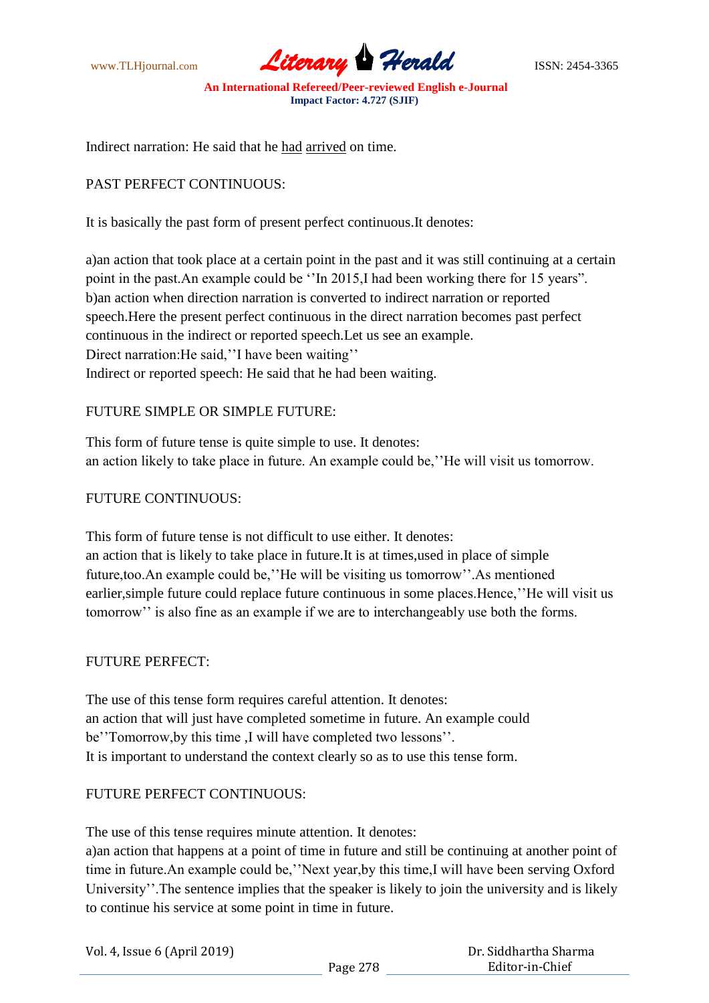www.TLHjournal.com **Literary Herald Herald** ISSN: 2454-3365

Indirect narration: He said that he had arrived on time.

### PAST PERFECT CONTINUOUS:

It is basically the past form of present perfect continuous.It denotes:

a)an action that took place at a certain point in the past and it was still continuing at a certain point in the past.An example could be "In 2015,I had been working there for 15 years". b)an action when direction narration is converted to indirect narration or reported speech.Here the present perfect continuous in the direct narration becomes past perfect continuous in the indirect or reported speech.Let us see an example. Direct narration: He said, "I have been waiting" Indirect or reported speech: He said that he had been waiting.

# FUTURE SIMPLE OR SIMPLE FUTURE:

This form of future tense is quite simple to use. It denotes: an action likely to take place in future. An example could be,""He will visit us tomorrow.

#### FUTURE CONTINUOUS:

This form of future tense is not difficult to use either. It denotes: an action that is likely to take place in future.It is at times,used in place of simple future,too.An example could be,""He will be visiting us tomorrow"".As mentioned earlier, simple future could replace future continuous in some places. Hence, "He will visit us tomorrow" is also fine as an example if we are to interchangeably use both the forms.

#### FUTURE PERFECT:

The use of this tense form requires careful attention. It denotes: an action that will just have completed sometime in future. An example could be" Tomorrow, by this time, I will have completed two lessons". It is important to understand the context clearly so as to use this tense form.

### FUTURE PERFECT CONTINUOUS:

The use of this tense requires minute attention. It denotes:

a)an action that happens at a point of time in future and still be continuing at another point of time in future. An example could be, "Next year, by this time, I will have been serving Oxford University". The sentence implies that the speaker is likely to join the university and is likely to continue his service at some point in time in future.

| Vol. 4, Issue 6 (April 2019) |  |
|------------------------------|--|
|------------------------------|--|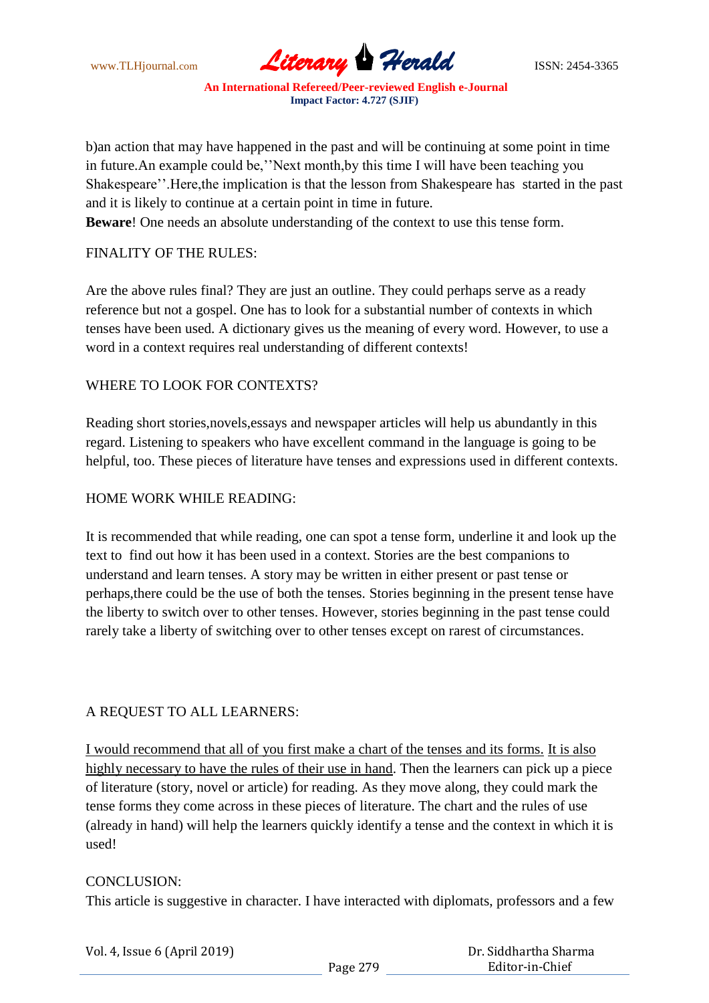www.TLHjournal.com **Literary Herald Herald** ISSN: 2454-3365

b)an action that may have happened in the past and will be continuing at some point in time in future.An example could be,""Next month,by this time I will have been teaching you Shakespeare". Here, the implication is that the lesson from Shakespeare has started in the past and it is likely to continue at a certain point in time in future.

**Beware**! One needs an absolute understanding of the context to use this tense form.

### FINALITY OF THE RULES:

Are the above rules final? They are just an outline. They could perhaps serve as a ready reference but not a gospel. One has to look for a substantial number of contexts in which tenses have been used. A dictionary gives us the meaning of every word. However, to use a word in a context requires real understanding of different contexts!

### WHERE TO LOOK FOR CONTEXTS?

Reading short stories,novels,essays and newspaper articles will help us abundantly in this regard. Listening to speakers who have excellent command in the language is going to be helpful, too. These pieces of literature have tenses and expressions used in different contexts.

### HOME WORK WHILE READING:

It is recommended that while reading, one can spot a tense form, underline it and look up the text to find out how it has been used in a context. Stories are the best companions to understand and learn tenses. A story may be written in either present or past tense or perhaps,there could be the use of both the tenses. Stories beginning in the present tense have the liberty to switch over to other tenses. However, stories beginning in the past tense could rarely take a liberty of switching over to other tenses except on rarest of circumstances.

#### A REQUEST TO ALL LEARNERS:

I would recommend that all of you first make a chart of the tenses and its forms. It is also highly necessary to have the rules of their use in hand. Then the learners can pick up a piece of literature (story, novel or article) for reading. As they move along, they could mark the tense forms they come across in these pieces of literature. The chart and the rules of use (already in hand) will help the learners quickly identify a tense and the context in which it is used!

#### CONCLUSION:

This article is suggestive in character. I have interacted with diplomats, professors and a few